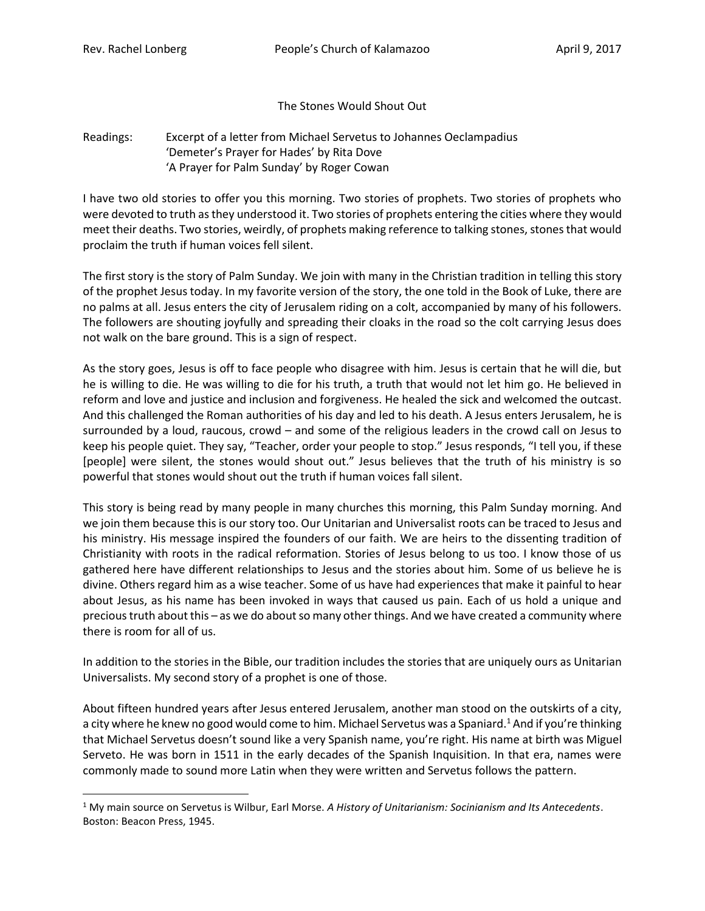l

## The Stones Would Shout Out

Readings: Excerpt of a letter from Michael Servetus to Johannes Oeclampadius 'Demeter's Prayer for Hades' by Rita Dove 'A Prayer for Palm Sunday' by Roger Cowan

I have two old stories to offer you this morning. Two stories of prophets. Two stories of prophets who were devoted to truth as they understood it. Two stories of prophets entering the cities where they would meet their deaths. Two stories, weirdly, of prophets making reference to talking stones, stones that would proclaim the truth if human voices fell silent.

The first story is the story of Palm Sunday. We join with many in the Christian tradition in telling this story of the prophet Jesus today. In my favorite version of the story, the one told in the Book of Luke, there are no palms at all. Jesus enters the city of Jerusalem riding on a colt, accompanied by many of his followers. The followers are shouting joyfully and spreading their cloaks in the road so the colt carrying Jesus does not walk on the bare ground. This is a sign of respect.

As the story goes, Jesus is off to face people who disagree with him. Jesus is certain that he will die, but he is willing to die. He was willing to die for his truth, a truth that would not let him go. He believed in reform and love and justice and inclusion and forgiveness. He healed the sick and welcomed the outcast. And this challenged the Roman authorities of his day and led to his death. A Jesus enters Jerusalem, he is surrounded by a loud, raucous, crowd – and some of the religious leaders in the crowd call on Jesus to keep his people quiet. They say, "Teacher, order your people to stop." Jesus responds, "I tell you, if these [people] were silent, the stones would shout out." Jesus believes that the truth of his ministry is so powerful that stones would shout out the truth if human voices fall silent.

This story is being read by many people in many churches this morning, this Palm Sunday morning. And we join them because this is our story too. Our Unitarian and Universalist roots can be traced to Jesus and his ministry. His message inspired the founders of our faith. We are heirs to the dissenting tradition of Christianity with roots in the radical reformation. Stories of Jesus belong to us too. I know those of us gathered here have different relationships to Jesus and the stories about him. Some of us believe he is divine. Others regard him as a wise teacher. Some of us have had experiences that make it painful to hear about Jesus, as his name has been invoked in ways that caused us pain. Each of us hold a unique and precious truth about this – as we do about so many other things. And we have created a community where there is room for all of us.

In addition to the stories in the Bible, our tradition includes the stories that are uniquely ours as Unitarian Universalists. My second story of a prophet is one of those.

About fifteen hundred years after Jesus entered Jerusalem, another man stood on the outskirts of a city, a city where he knew no good would come to him. Michael Servetus was a Spaniard.<sup>1</sup> And if you're thinking that Michael Servetus doesn't sound like a very Spanish name, you're right. His name at birth was Miguel Serveto. He was born in 1511 in the early decades of the Spanish Inquisition. In that era, names were commonly made to sound more Latin when they were written and Servetus follows the pattern.

<sup>1</sup> My main source on Servetus is Wilbur, Earl Morse. *A History of Unitarianism: Socinianism and Its Antecedents*. Boston: Beacon Press, 1945.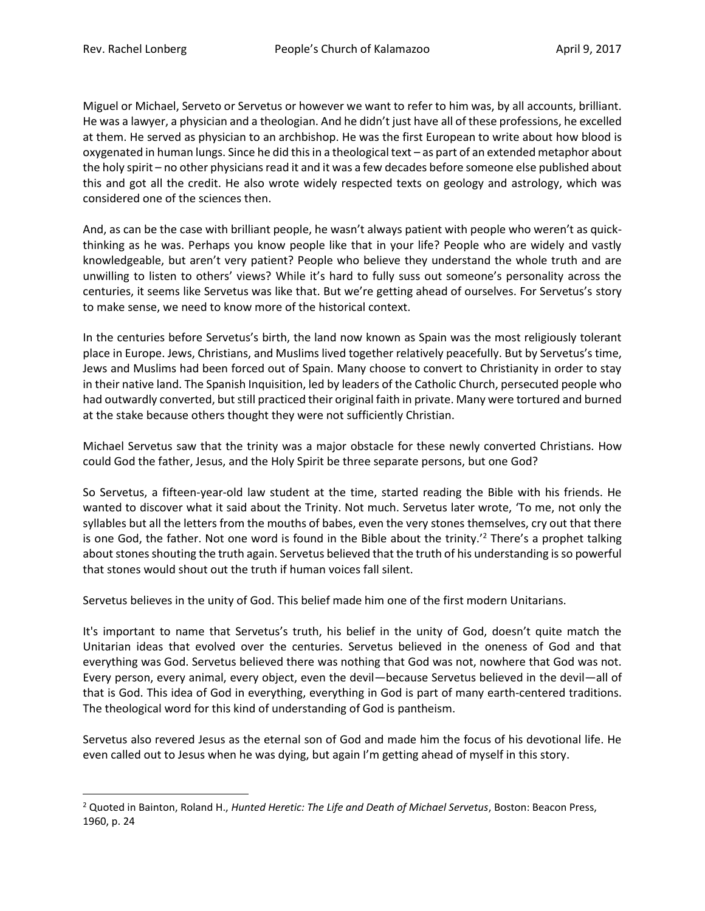l

Miguel or Michael, Serveto or Servetus or however we want to refer to him was, by all accounts, brilliant. He was a lawyer, a physician and a theologian. And he didn't just have all of these professions, he excelled at them. He served as physician to an archbishop. He was the first European to write about how blood is oxygenated in human lungs. Since he did this in a theological text – as part of an extended metaphor about the holy spirit – no other physicians read it and it was a few decades before someone else published about this and got all the credit. He also wrote widely respected texts on geology and astrology, which was considered one of the sciences then.

And, as can be the case with brilliant people, he wasn't always patient with people who weren't as quickthinking as he was. Perhaps you know people like that in your life? People who are widely and vastly knowledgeable, but aren't very patient? People who believe they understand the whole truth and are unwilling to listen to others' views? While it's hard to fully suss out someone's personality across the centuries, it seems like Servetus was like that. But we're getting ahead of ourselves. For Servetus's story to make sense, we need to know more of the historical context.

In the centuries before Servetus's birth, the land now known as Spain was the most religiously tolerant place in Europe. Jews, Christians, and Muslims lived together relatively peacefully. But by Servetus's time, Jews and Muslims had been forced out of Spain. Many choose to convert to Christianity in order to stay in their native land. The Spanish Inquisition, led by leaders of the Catholic Church, persecuted people who had outwardly converted, but still practiced their original faith in private. Many were tortured and burned at the stake because others thought they were not sufficiently Christian.

Michael Servetus saw that the trinity was a major obstacle for these newly converted Christians. How could God the father, Jesus, and the Holy Spirit be three separate persons, but one God?

So Servetus, a fifteen-year-old law student at the time, started reading the Bible with his friends. He wanted to discover what it said about the Trinity. Not much. Servetus later wrote, 'To me, not only the syllables but all the letters from the mouths of babes, even the very stones themselves, cry out that there is one God, the father. Not one word is found in the Bible about the trinity.<sup>'2</sup> There's a prophet talking about stones shouting the truth again. Servetus believed that the truth of his understanding is so powerful that stones would shout out the truth if human voices fall silent.

Servetus believes in the unity of God. This belief made him one of the first modern Unitarians.

It's important to name that Servetus's truth, his belief in the unity of God, doesn't quite match the Unitarian ideas that evolved over the centuries. Servetus believed in the oneness of God and that everything was God. Servetus believed there was nothing that God was not, nowhere that God was not. Every person, every animal, every object, even the devil—because Servetus believed in the devil—all of that is God. This idea of God in everything, everything in God is part of many earth-centered traditions. The theological word for this kind of understanding of God is pantheism.

Servetus also revered Jesus as the eternal son of God and made him the focus of his devotional life. He even called out to Jesus when he was dying, but again I'm getting ahead of myself in this story.

<sup>2</sup> Quoted in Bainton, Roland H., *Hunted Heretic: The Life and Death of Michael Servetus*, Boston: Beacon Press, 1960, p. 24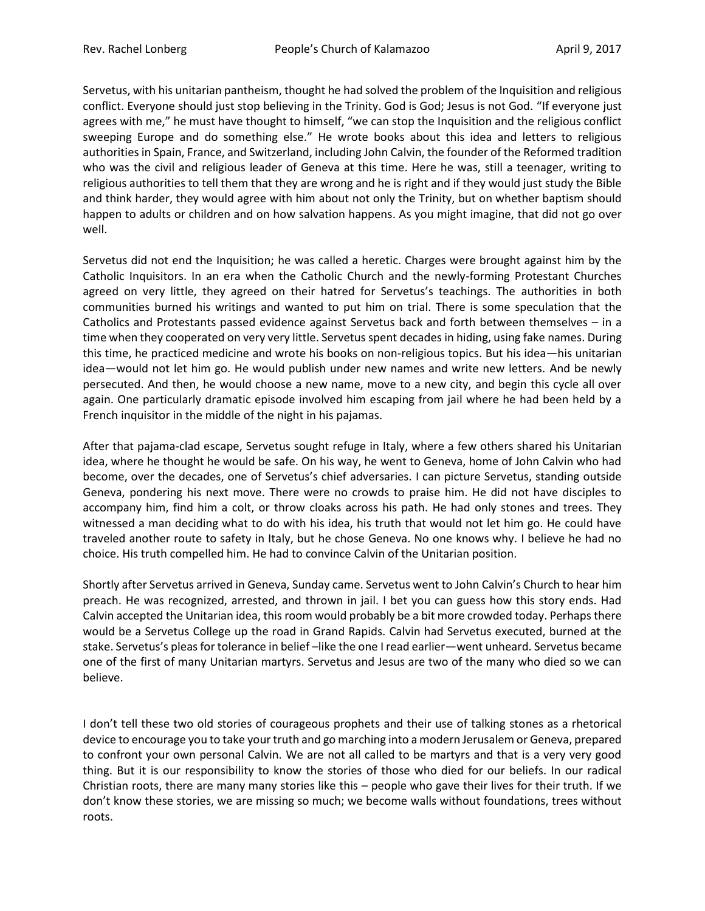Servetus, with his unitarian pantheism, thought he had solved the problem of the Inquisition and religious conflict. Everyone should just stop believing in the Trinity. God is God; Jesus is not God. "If everyone just agrees with me," he must have thought to himself, "we can stop the Inquisition and the religious conflict sweeping Europe and do something else." He wrote books about this idea and letters to religious authorities in Spain, France, and Switzerland, including John Calvin, the founder of the Reformed tradition who was the civil and religious leader of Geneva at this time. Here he was, still a teenager, writing to religious authorities to tell them that they are wrong and he is right and if they would just study the Bible and think harder, they would agree with him about not only the Trinity, but on whether baptism should happen to adults or children and on how salvation happens. As you might imagine, that did not go over well.

Servetus did not end the Inquisition; he was called a heretic. Charges were brought against him by the Catholic Inquisitors. In an era when the Catholic Church and the newly-forming Protestant Churches agreed on very little, they agreed on their hatred for Servetus's teachings. The authorities in both communities burned his writings and wanted to put him on trial. There is some speculation that the Catholics and Protestants passed evidence against Servetus back and forth between themselves – in a time when they cooperated on very very little. Servetus spent decades in hiding, using fake names. During this time, he practiced medicine and wrote his books on non-religious topics. But his idea—his unitarian idea—would not let him go. He would publish under new names and write new letters. And be newly persecuted. And then, he would choose a new name, move to a new city, and begin this cycle all over again. One particularly dramatic episode involved him escaping from jail where he had been held by a French inquisitor in the middle of the night in his pajamas.

After that pajama-clad escape, Servetus sought refuge in Italy, where a few others shared his Unitarian idea, where he thought he would be safe. On his way, he went to Geneva, home of John Calvin who had become, over the decades, one of Servetus's chief adversaries. I can picture Servetus, standing outside Geneva, pondering his next move. There were no crowds to praise him. He did not have disciples to accompany him, find him a colt, or throw cloaks across his path. He had only stones and trees. They witnessed a man deciding what to do with his idea, his truth that would not let him go. He could have traveled another route to safety in Italy, but he chose Geneva. No one knows why. I believe he had no choice. His truth compelled him. He had to convince Calvin of the Unitarian position.

Shortly after Servetus arrived in Geneva, Sunday came. Servetus went to John Calvin's Church to hear him preach. He was recognized, arrested, and thrown in jail. I bet you can guess how this story ends. Had Calvin accepted the Unitarian idea, this room would probably be a bit more crowded today. Perhaps there would be a Servetus College up the road in Grand Rapids. Calvin had Servetus executed, burned at the stake. Servetus's pleas for tolerance in belief –like the one I read earlier—went unheard. Servetus became one of the first of many Unitarian martyrs. Servetus and Jesus are two of the many who died so we can believe.

I don't tell these two old stories of courageous prophets and their use of talking stones as a rhetorical device to encourage you to take your truth and go marching into a modern Jerusalem or Geneva, prepared to confront your own personal Calvin. We are not all called to be martyrs and that is a very very good thing. But it is our responsibility to know the stories of those who died for our beliefs. In our radical Christian roots, there are many many stories like this – people who gave their lives for their truth. If we don't know these stories, we are missing so much; we become walls without foundations, trees without roots.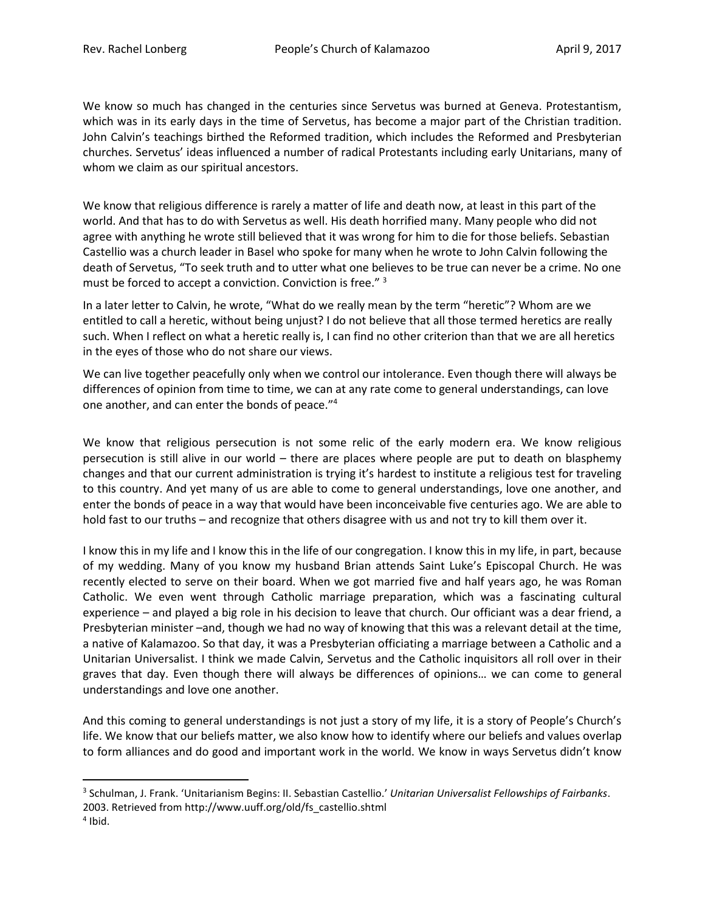We know so much has changed in the centuries since Servetus was burned at Geneva. Protestantism, which was in its early days in the time of Servetus, has become a major part of the Christian tradition. John Calvin's teachings birthed the Reformed tradition, which includes the Reformed and Presbyterian churches. Servetus' ideas influenced a number of radical Protestants including early Unitarians, many of whom we claim as our spiritual ancestors.

We know that religious difference is rarely a matter of life and death now, at least in this part of the world. And that has to do with Servetus as well. His death horrified many. Many people who did not agree with anything he wrote still believed that it was wrong for him to die for those beliefs. Sebastian Castellio was a church leader in Basel who spoke for many when he wrote to John Calvin following the death of Servetus, "To seek truth and to utter what one believes to be true can never be a crime. No one must be forced to accept a conviction. Conviction is free." <sup>3</sup>

In a later letter to Calvin, he wrote, "What do we really mean by the term "heretic"? Whom are we entitled to call a heretic, without being unjust? I do not believe that all those termed heretics are really such. When I reflect on what a heretic really is, I can find no other criterion than that we are all heretics in the eyes of those who do not share our views.

We can live together peacefully only when we control our intolerance. Even though there will always be differences of opinion from time to time, we can at any rate come to general understandings, can love one another, and can enter the bonds of peace."<sup>4</sup>

We know that religious persecution is not some relic of the early modern era. We know religious persecution is still alive in our world – there are places where people are put to death on blasphemy changes and that our current administration is trying it's hardest to institute a religious test for traveling to this country. And yet many of us are able to come to general understandings, love one another, and enter the bonds of peace in a way that would have been inconceivable five centuries ago. We are able to hold fast to our truths – and recognize that others disagree with us and not try to kill them over it.

I know this in my life and I know this in the life of our congregation. I know this in my life, in part, because of my wedding. Many of you know my husband Brian attends Saint Luke's Episcopal Church. He was recently elected to serve on their board. When we got married five and half years ago, he was Roman Catholic. We even went through Catholic marriage preparation, which was a fascinating cultural experience – and played a big role in his decision to leave that church. Our officiant was a dear friend, a Presbyterian minister –and, though we had no way of knowing that this was a relevant detail at the time, a native of Kalamazoo. So that day, it was a Presbyterian officiating a marriage between a Catholic and a Unitarian Universalist. I think we made Calvin, Servetus and the Catholic inquisitors all roll over in their graves that day. Even though there will always be differences of opinions… we can come to general understandings and love one another.

And this coming to general understandings is not just a story of my life, it is a story of People's Church's life. We know that our beliefs matter, we also know how to identify where our beliefs and values overlap to form alliances and do good and important work in the world. We know in ways Servetus didn't know

 $\overline{\phantom{a}}$ 

<sup>3</sup> Schulman, J. Frank. 'Unitarianism Begins: II. Sebastian Castellio.' *Unitarian Universalist Fellowships of Fairbanks*. 2003. Retrieved from http://www.uuff.org/old/fs\_castellio.shtml

<sup>4</sup> Ibid.